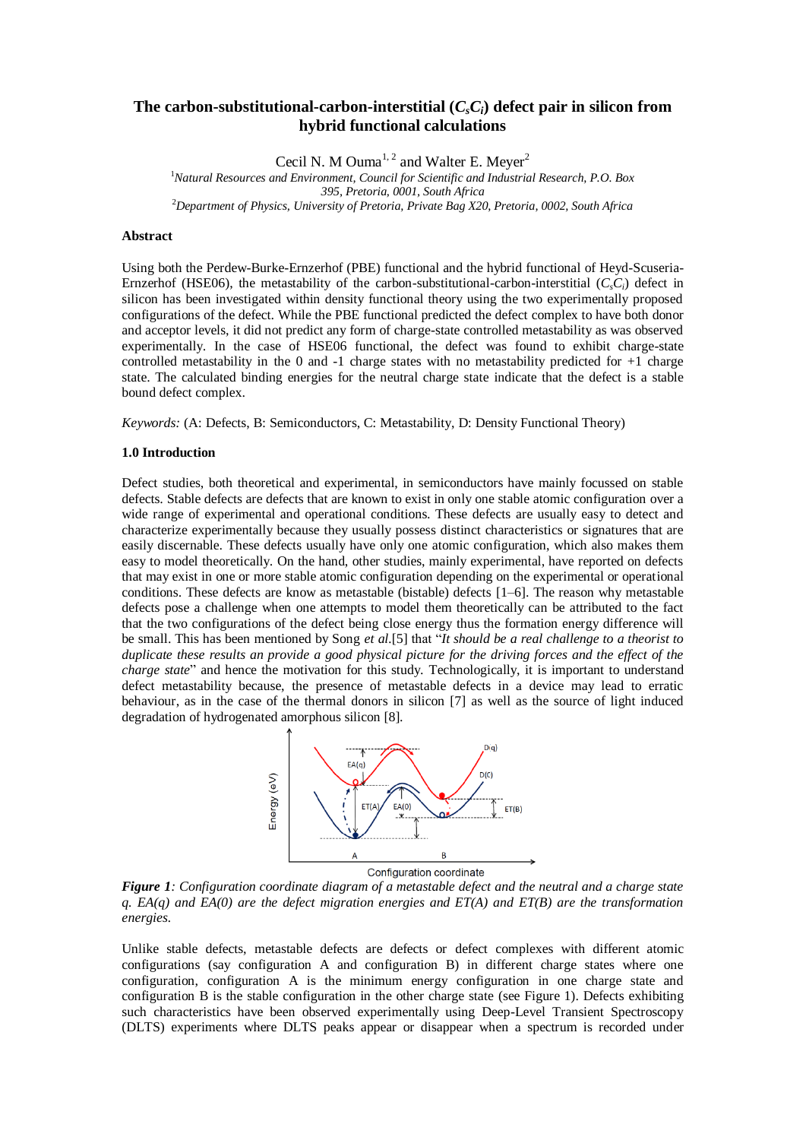# The carbon-substitutional-carbon-interstitial  $(C_sC_i)$  defect pair in silicon from **hybrid functional calculations**

Cecil N. M Ouma<sup>1, 2</sup> and Walter E. Meyer<sup>2</sup> <sup>1</sup>*Natural Resources and Environment, Council for Scientific and Industrial Research, P.O. Box 395, Pretoria, 0001, South Africa* <sup>2</sup>*Department of Physics, University of Pretoria, Private Bag X20, Pretoria, 0002, South Africa*

## **Abstract**

Using both the Perdew-Burke-Ernzerhof (PBE) functional and the hybrid functional of Heyd-Scuseria-Ernzerhof (HSE06), the metastability of the carbon-substitutional-carbon-interstitial  $(C_sC_i)$  defect in silicon has been investigated within density functional theory using the two experimentally proposed configurations of the defect. While the PBE functional predicted the defect complex to have both donor and acceptor levels, it did not predict any form of charge-state controlled metastability as was observed experimentally. In the case of HSE06 functional, the defect was found to exhibit charge-state controlled metastability in the 0 and -1 charge states with no metastability predicted for +1 charge state. The calculated binding energies for the neutral charge state indicate that the defect is a stable bound defect complex.

*Keywords:* (A: Defects, B: Semiconductors, C: Metastability, D: Density Functional Theory)

### **1.0 Introduction**

Defect studies, both theoretical and experimental, in semiconductors have mainly focussed on stable defects. Stable defects are defects that are known to exist in only one stable atomic configuration over a wide range of experimental and operational conditions. These defects are usually easy to detect and characterize experimentally because they usually possess distinct characteristics or signatures that are easily discernable. These defects usually have only one atomic configuration, which also makes them easy to model theoretically. On the hand, other studies, mainly experimental, have reported on defects that may exist in one or more stable atomic configuration depending on the experimental or operational conditions. These defects are know as metastable (bistable) defects [1–6]. The reason why metastable defects pose a challenge when one attempts to model them theoretically can be attributed to the fact that the two configurations of the defect being close energy thus the formation energy difference will be small. This has been mentioned by Song *et al.*[5] that "*It should be a real challenge to a theorist to duplicate these results an provide a good physical picture for the driving forces and the effect of the charge state*" and hence the motivation for this study. Technologically, it is important to understand defect metastability because, the presence of metastable defects in a device may lead to erratic behaviour, as in the case of the thermal donors in silicon [7] as well as the source of light induced degradation of hydrogenated amorphous silicon [8].



*Figure 1: Configuration coordinate diagram of a metastable defect and the neutral and a charge state q. EA(q) and EA(0) are the defect migration energies and ET(A) and ET(B) are the transformation energies.*

Unlike stable defects, metastable defects are defects or defect complexes with different atomic configurations (say configuration A and configuration B) in different charge states where one configuration, configuration A is the minimum energy configuration in one charge state and configuration B is the stable configuration in the other charge state (see Figure 1). Defects exhibiting such characteristics have been observed experimentally using Deep-Level Transient Spectroscopy (DLTS) experiments where DLTS peaks appear or disappear when a spectrum is recorded under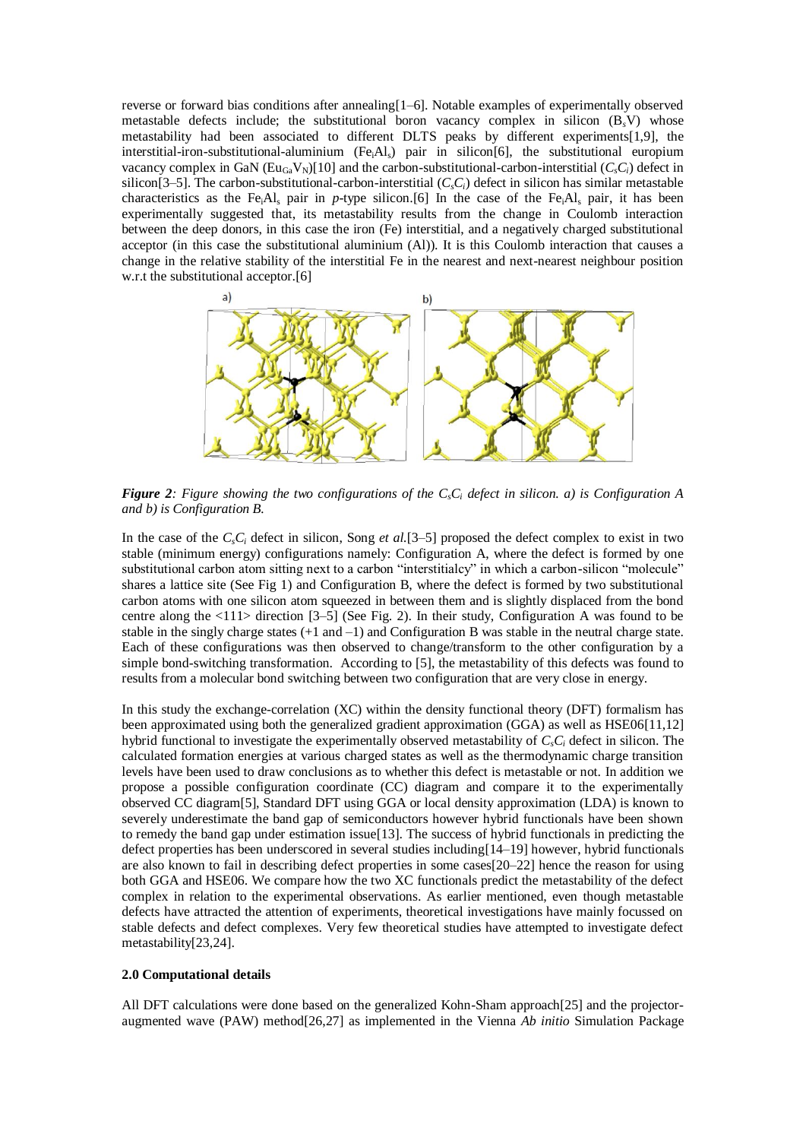reverse or forward bias conditions after annealing[1–6]. Notable examples of experimentally observed metastable defects include; the substitutional boron vacancy complex in silicon (B*s*V) whose metastability had been associated to different DLTS peaks by different experiments[1,9], the interstitial-iron-substitutional-aluminium (Fe<sub>i</sub>Al<sub>s</sub>) pair in silicon[6], the substitutional europium vacancy complex in GaN  $(E_{U_{GB}}V_N)[10]$  and the carbon-substitutional-carbon-interstitial  $(C_sC_i)$  defect in silicon $[3–5]$ . The carbon-substitutional-carbon-interstitial  $(C_sC_i)$  defect in silicon has similar metastable characteristics as the Fe<sub>i</sub>Al<sub>s</sub> pair in *p*-type silicon.[6] In the case of the Fe<sub>i</sub>Al<sub>s</sub> pair, it has been experimentally suggested that, its metastability results from the change in Coulomb interaction between the deep donors, in this case the iron (Fe) interstitial, and a negatively charged substitutional acceptor (in this case the substitutional aluminium (Al)). It is this Coulomb interaction that causes a change in the relative stability of the interstitial Fe in the nearest and next-nearest neighbour position w.r.t the substitutional acceptor.<sup>[6]</sup>



*Figure 2: Figure showing the two configurations of the C<sub><i>s*</sub> $C_i$  *defect in silicon. a) is Configuration A and b) is Configuration B.*

In the case of the *CsC<sup>i</sup>* defect in silicon, Song *et al.*[3–5] proposed the defect complex to exist in two stable (minimum energy) configurations namely: Configuration A, where the defect is formed by one substitutional carbon atom sitting next to a carbon "interstitialcy" in which a carbon-silicon "molecule" shares a lattice site (See Fig 1) and Configuration B, where the defect is formed by two substitutional carbon atoms with one silicon atom squeezed in between them and is slightly displaced from the bond centre along the <111> direction [3–5] (See Fig. 2). In their study, Configuration A was found to be stable in the singly charge states (+1 and –1) and Configuration B was stable in the neutral charge state. Each of these configurations was then observed to change/transform to the other configuration by a simple bond-switching transformation. According to [5], the metastability of this defects was found to results from a molecular bond switching between two configuration that are very close in energy.

In this study the exchange-correlation (XC) within the density functional theory (DFT) formalism has been approximated using both the generalized gradient approximation (GGA) as well as HSE06[11,12] hybrid functional to investigate the experimentally observed metastability of *CsC<sup>i</sup>* defect in silicon. The calculated formation energies at various charged states as well as the thermodynamic charge transition levels have been used to draw conclusions as to whether this defect is metastable or not. In addition we propose a possible configuration coordinate (CC) diagram and compare it to the experimentally observed CC diagram[5], Standard DFT using GGA or local density approximation (LDA) is known to severely underestimate the band gap of semiconductors however hybrid functionals have been shown to remedy the band gap under estimation issue[13]. The success of hybrid functionals in predicting the defect properties has been underscored in several studies including[14–19] however, hybrid functionals are also known to fail in describing defect properties in some cases[20–22] hence the reason for using both GGA and HSE06. We compare how the two XC functionals predict the metastability of the defect complex in relation to the experimental observations. As earlier mentioned, even though metastable defects have attracted the attention of experiments, theoretical investigations have mainly focussed on stable defects and defect complexes. Very few theoretical studies have attempted to investigate defect metastability[23,24].

#### **2.0 Computational details**

All DFT calculations were done based on the generalized Kohn-Sham approach[25] and the projectoraugmented wave (PAW) method[26,27] as implemented in the Vienna *Ab initio* Simulation Package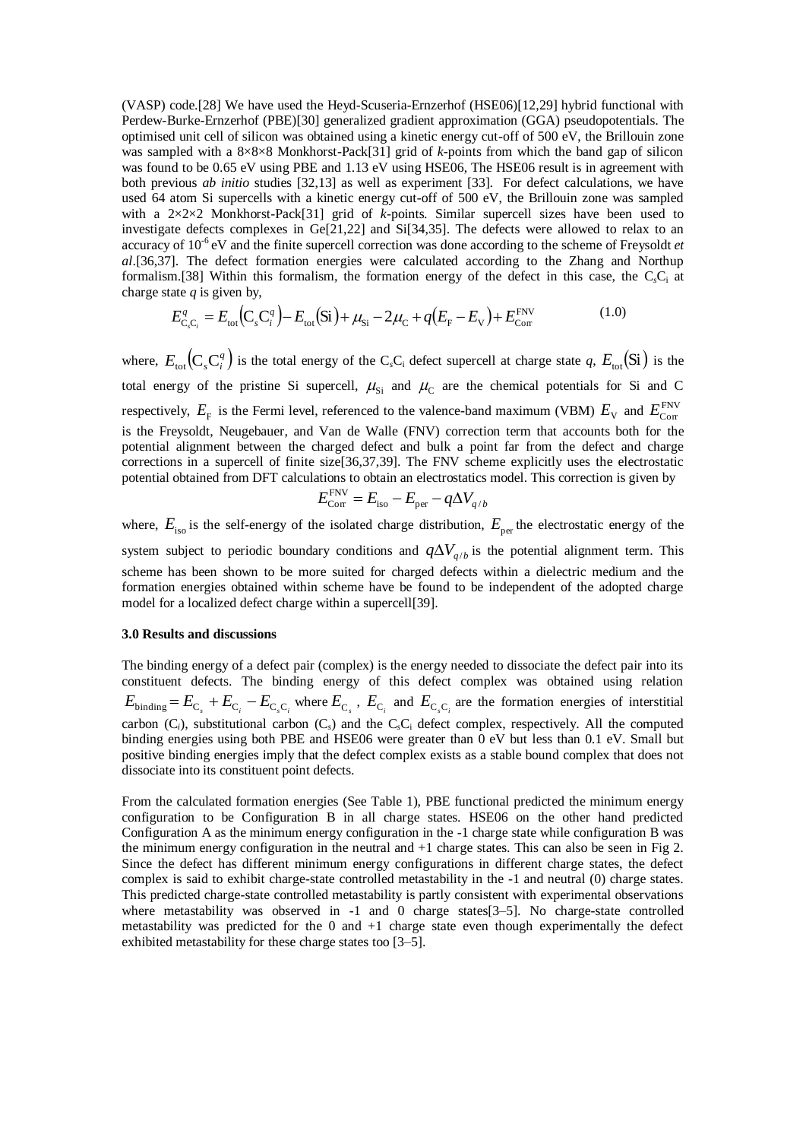(VASP) code.[28] We have used the Heyd-Scuseria-Ernzerhof (HSE06)[12,29] hybrid functional with Perdew-Burke-Ernzerhof (PBE)[30] generalized gradient approximation (GGA) pseudopotentials. The optimised unit cell of silicon was obtained using a kinetic energy cut-off of 500 eV, the Brillouin zone was sampled with a 8×8×8 Monkhorst-Pack[31] grid of *k*-points from which the band gap of silicon was found to be 0.65 eV using PBE and 1.13 eV using HSE06, The HSE06 result is in agreement with both previous *ab initio* studies [32,13] as well as experiment [33]. For defect calculations, we have used 64 atom Si supercells with a kinetic energy cut-off of 500 eV, the Brillouin zone was sampled with a 2×2×2 Monkhorst-Pack[31] grid of *k*-points. Similar supercell sizes have been used to investigate defects complexes in Ge[21,22] and Si[34,35]. The defects were allowed to relax to an accuracy of 10<sup>-6</sup> eV and the finite supercell correction was done according to the scheme of Freysoldt *et al*.[36,37]. The defect formation energies were calculated according to the Zhang and Northup formalism.[38] Within this formalism, the formation energy of the defect in this case, the C*s*C<sup>i</sup> at charge state *q* is given by,

$$
E_{C_sC_i}^q = E_{\text{tot}}(C_sC_i^q) - E_{\text{tot}}(Si) + \mu_{Si} - 2\mu_C + q(E_F - E_V) + E_{\text{Corr}}^{\text{FNV}} \tag{1.0}
$$

where,  $E_{\text{tot}}(C_s C_i^q)$  is the total energy of the C<sub>s</sub>C<sub>i</sub> defect supercell at charge state *q*,  $E_{\text{tot}}(Si)$  is the total energy of the pristine Si supercell,  $\mu_{Si}$  and  $\mu_{C}$  are the chemical potentials for Si and C respectively,  $E_{\rm F}$  is the Fermi level, referenced to the valence-band maximum (VBM)  $E_{\rm V}$  and  $E_{\rm Corr}^{\rm FNV}$ is the Freysoldt, Neugebauer, and Van de Walle (FNV) correction term that accounts both for the potential alignment between the charged defect and bulk a point far from the defect and charge corrections in a supercell of finite size[36,37,39]. The FNV scheme explicitly uses the electrostatic potential obtained from DFT calculations to obtain an electrostatics model. This correction is given by

$$
E_{\text{Corr}}^{\text{FNV}} = E_{\text{iso}} - E_{\text{per}} - q\Delta V_{q/b}
$$

where,  $E_{\text{iso}}$  is the self-energy of the isolated charge distribution,  $E_{\text{per}}$  the electrostatic energy of the system subject to periodic boundary conditions and  $q\Delta V_{q/b}$  is the potential alignment term. This scheme has been shown to be more suited for charged defects within a dielectric medium and the formation energies obtained within scheme have be found to be independent of the adopted charge model for a localized defect charge within a supercell[39].

### **3.0 Results and discussions**

The binding energy of a defect pair (complex) is the energy needed to dissociate the defect pair into its constituent defects. The binding energy of this defect complex was obtained using relation  $E_{\text{binding}} = E_{\text{C}_s} + E_{\text{C}_i} - E_{\text{C}_s\text{C}_i}$  where  $E_{\text{C}_s}$ ,  $E_{\text{C}_i}$  and  $E_{\text{C}_s\text{C}_i}$  are the formation energies of interstitial carbon  $(C_i)$ , substitutional carbon  $(C_s)$  and the  $C_sC_i$  defect complex, respectively. All the computed binding energies using both PBE and HSE06 were greater than 0 eV but less than 0.1 eV. Small but positive binding energies imply that the defect complex exists as a stable bound complex that does not dissociate into its constituent point defects.

From the calculated formation energies (See Table 1), PBE functional predicted the minimum energy configuration to be Configuration B in all charge states. HSE06 on the other hand predicted Configuration A as the minimum energy configuration in the -1 charge state while configuration B was the minimum energy configuration in the neutral and +1 charge states. This can also be seen in Fig 2. Since the defect has different minimum energy configurations in different charge states, the defect complex is said to exhibit charge-state controlled metastability in the -1 and neutral (0) charge states. This predicted charge-state controlled metastability is partly consistent with experimental observations where metastability was observed in -1 and 0 charge states[3-5]. No charge-state controlled metastability was predicted for the 0 and  $+1$  charge state even though experimentally the defect exhibited metastability for these charge states too [3–5].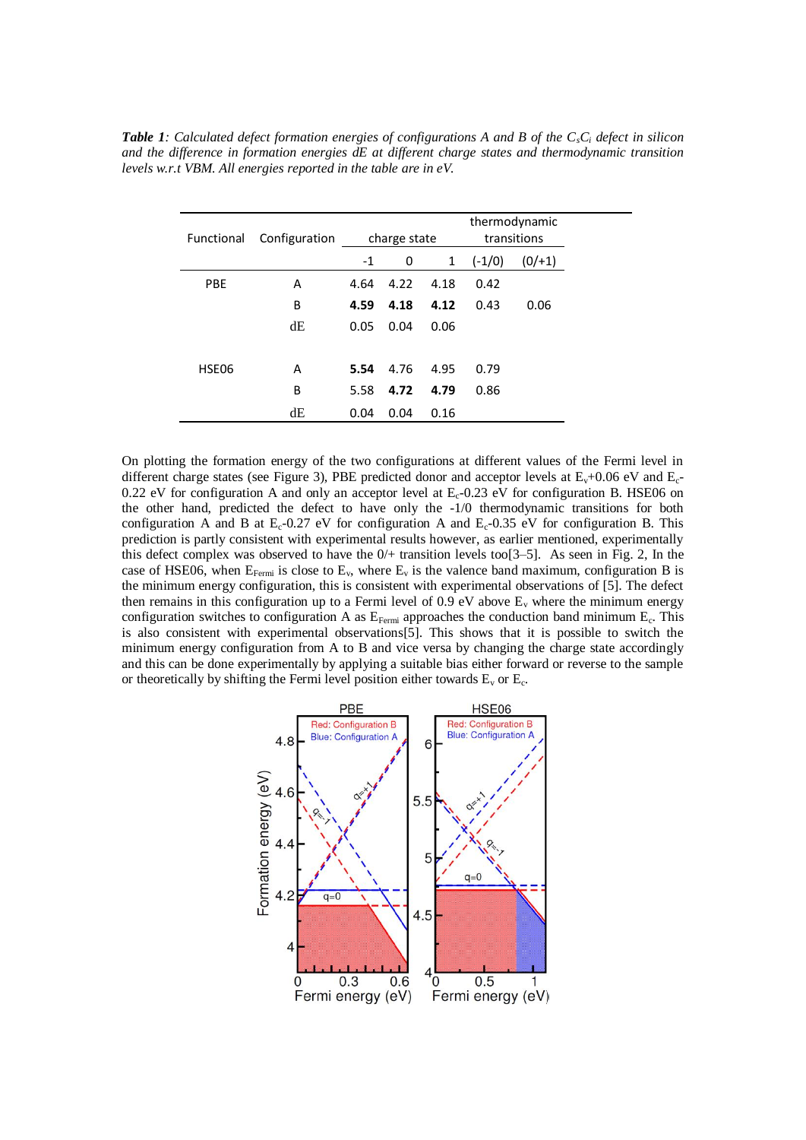| <b>Functional</b> | Configuration | charge state |      |              | thermodynamic<br>transitions |       |
|-------------------|---------------|--------------|------|--------------|------------------------------|-------|
|                   |               | $-1$         | 0    | $\mathbf{1}$ | $(-1/0)$                     | (0/1) |
| <b>PBE</b>        | A             | 4.64         | 4.22 | 4.18         | 0.42                         |       |
|                   | B             | 4.59         | 4.18 | 4.12         | 0.43                         | 0.06  |
|                   | dE            | 0.05         | 0.04 | 0.06         |                              |       |
|                   |               |              |      |              |                              |       |
| HSE06             | A             | 5.54         | 4.76 | 4.95         | 0.79                         |       |
|                   | B             | 5.58         | 4.72 | 4.79         | 0.86                         |       |
|                   | dE            | 0.04         | 0.04 | 0.16         |                              |       |

*Table 1: Calculated defect formation energies of configurations A and B of the CsC<sup>i</sup> defect in silicon and the difference in formation energies dE at different charge states and thermodynamic transition levels w.r.t VBM. All energies reported in the table are in eV.*

On plotting the formation energy of the two configurations at different values of the Fermi level in different charge states (see Figure 3), PBE predicted donor and acceptor levels at  $E_v+0.06$  eV and  $E_c$ -0.22 eV for configuration A and only an acceptor level at  $E_c$ -0.23 eV for configuration B. HSE06 on the other hand, predicted the defect to have only the -1/0 thermodynamic transitions for both configuration A and B at  $E_c$ -0.27 eV for configuration A and  $E_c$ -0.35 eV for configuration B. This prediction is partly consistent with experimental results however, as earlier mentioned, experimentally this defect complex was observed to have the 0/+ transition levels too[3–5]. As seen in Fig. 2, In the case of HSE06, when  $E_{Fermi}$  is close to  $E_v$ , where  $E_v$  is the valence band maximum, configuration B is the minimum energy configuration, this is consistent with experimental observations of [5]. The defect then remains in this configuration up to a Fermi level of 0.9 eV above  $E_v$  where the minimum energy configuration switches to configuration A as  $E_{Fermi}$  approaches the conduction band minimum  $E_c$ . This is also consistent with experimental observations[5]. This shows that it is possible to switch the minimum energy configuration from A to B and vice versa by changing the charge state accordingly and this can be done experimentally by applying a suitable bias either forward or reverse to the sample or theoretically by shifting the Fermi level position either towards  $E_v$  or  $E_c$ .

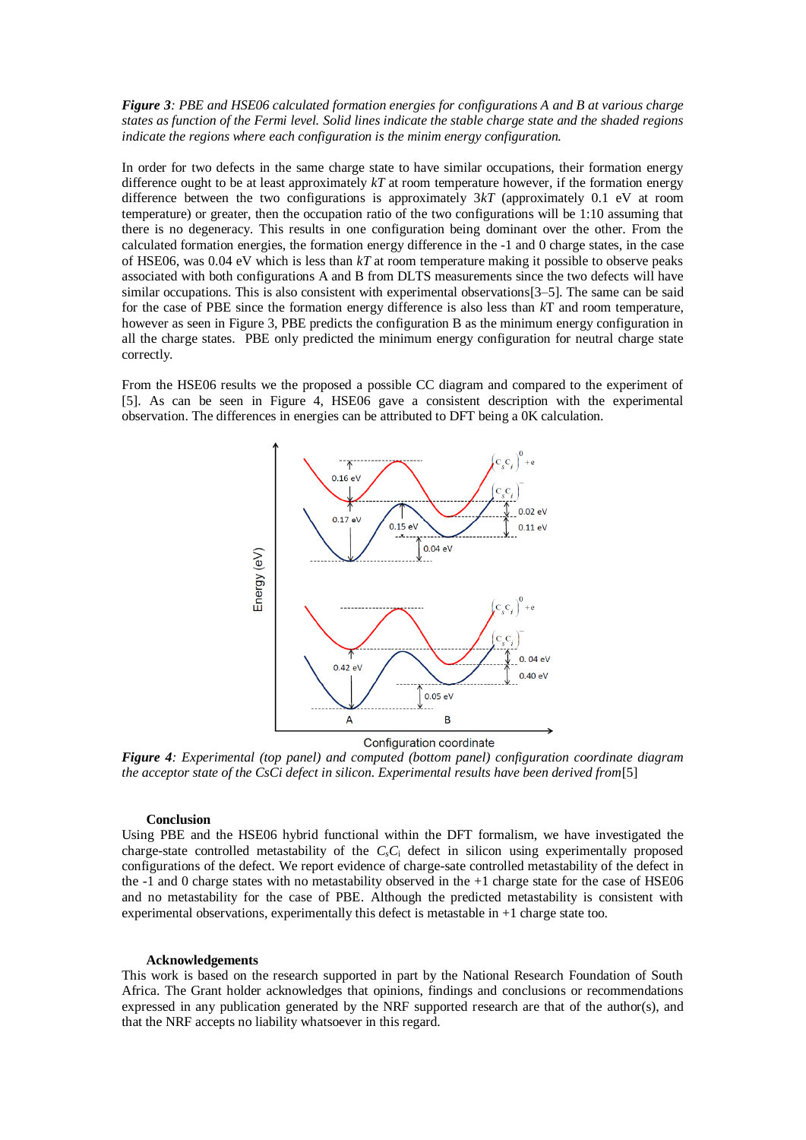### *Figure 3: PBE and HSE06 calculated formation energies for configurations A and B at various charge states as function of the Fermi level. Solid lines indicate the stable charge state and the shaded regions indicate the regions where each configuration is the minim energy configuration.*

In order for two defects in the same charge state to have similar occupations, their formation energy difference ought to be at least approximately *kT* at room temperature however, if the formation energy difference between the two configurations is approximately 3*kT* (approximately 0.1 eV at room temperature) or greater, then the occupation ratio of the two configurations will be 1:10 assuming that there is no degeneracy. This results in one configuration being dominant over the other. From the calculated formation energies, the formation energy difference in the -1 and 0 charge states, in the case of HSE06, was 0.04 eV which is less than *kT* at room temperature making it possible to observe peaks associated with both configurations A and B from DLTS measurements since the two defects will have similar occupations. This is also consistent with experimental observations[3–5]. The same can be said for the case of PBE since the formation energy difference is also less than *k*T and room temperature, however as seen in Figure 3, PBE predicts the configuration B as the minimum energy configuration in all the charge states. PBE only predicted the minimum energy configuration for neutral charge state correctly.

From the HSE06 results we the proposed a possible CC diagram and compared to the experiment of [5]. As can be seen in Figure 4, HSE06 gave a consistent description with the experimental observation. The differences in energies can be attributed to DFT being a 0K calculation.



Configuration coordinate

*Figure 4: Experimental (top panel) and computed (bottom panel) configuration coordinate diagram the acceptor state of the CsCi defect in silicon. Experimental results have been derived from*[5]

#### **Conclusion**

Using PBE and the HSE06 hybrid functional within the DFT formalism, we have investigated the charge-state controlled metastability of the *CsC*<sup>i</sup> defect in silicon using experimentally proposed configurations of the defect. We report evidence of charge-sate controlled metastability of the defect in the  $-1$  and 0 charge states with no metastability observed in the  $+1$  charge state for the case of HSE06 and no metastability for the case of PBE. Although the predicted metastability is consistent with experimental observations, experimentally this defect is metastable in +1 charge state too.

#### **Acknowledgements**

This work is based on the research supported in part by the National Research Foundation of South Africa. The Grant holder acknowledges that opinions, findings and conclusions or recommendations expressed in any publication generated by the NRF supported research are that of the author(s), and that the NRF accepts no liability whatsoever in this regard.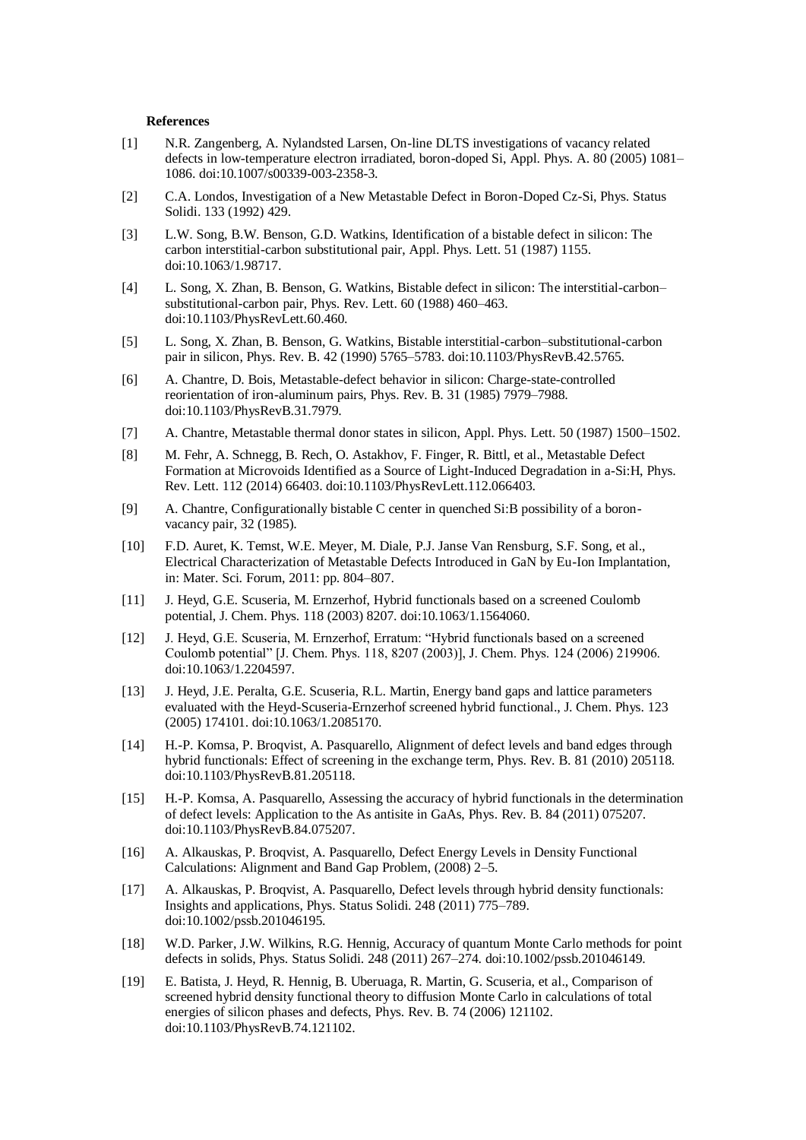#### **References**

- [1] N.R. Zangenberg, A. Nylandsted Larsen, On-line DLTS investigations of vacancy related defects in low-temperature electron irradiated, boron-doped Si, Appl. Phys. A. 80 (2005) 1081– 1086. doi:10.1007/s00339-003-2358-3.
- [2] C.A. Londos, Investigation of a New Metastable Defect in Boron-Doped Cz-Si, Phys. Status Solidi. 133 (1992) 429.
- [3] L.W. Song, B.W. Benson, G.D. Watkins, Identification of a bistable defect in silicon: The carbon interstitial-carbon substitutional pair, Appl. Phys. Lett. 51 (1987) 1155. doi:10.1063/1.98717.
- [4] L. Song, X. Zhan, B. Benson, G. Watkins, Bistable defect in silicon: The interstitial-carbon– substitutional-carbon pair, Phys. Rev. Lett. 60 (1988) 460–463. doi:10.1103/PhysRevLett.60.460.
- [5] L. Song, X. Zhan, B. Benson, G. Watkins, Bistable interstitial-carbon–substitutional-carbon pair in silicon, Phys. Rev. B. 42 (1990) 5765–5783. doi:10.1103/PhysRevB.42.5765.
- [6] A. Chantre, D. Bois, Metastable-defect behavior in silicon: Charge-state-controlled reorientation of iron-aluminum pairs, Phys. Rev. B. 31 (1985) 7979–7988. doi:10.1103/PhysRevB.31.7979.
- [7] A. Chantre, Metastable thermal donor states in silicon, Appl. Phys. Lett. 50 (1987) 1500–1502.
- [8] M. Fehr, A. Schnegg, B. Rech, O. Astakhov, F. Finger, R. Bittl, et al., Metastable Defect Formation at Microvoids Identified as a Source of Light-Induced Degradation in a-Si:H, Phys. Rev. Lett. 112 (2014) 66403. doi:10.1103/PhysRevLett.112.066403.
- [9] A. Chantre, Configurationally bistable C center in quenched Si:B possibility of a boronvacancy pair, 32 (1985).
- [10] F.D. Auret, K. Temst, W.E. Meyer, M. Diale, P.J. Janse Van Rensburg, S.F. Song, et al., Electrical Characterization of Metastable Defects Introduced in GaN by Eu-Ion Implantation, in: Mater. Sci. Forum, 2011: pp. 804–807.
- [11] J. Heyd, G.E. Scuseria, M. Ernzerhof, Hybrid functionals based on a screened Coulomb potential, J. Chem. Phys. 118 (2003) 8207. doi:10.1063/1.1564060.
- [12] J. Heyd, G.E. Scuseria, M. Ernzerhof, Erratum: "Hybrid functionals based on a screened Coulomb potential" [J. Chem. Phys. 118, 8207 (2003)], J. Chem. Phys. 124 (2006) 219906. doi:10.1063/1.2204597.
- [13] J. Heyd, J.E. Peralta, G.E. Scuseria, R.L. Martin, Energy band gaps and lattice parameters evaluated with the Heyd-Scuseria-Ernzerhof screened hybrid functional., J. Chem. Phys. 123 (2005) 174101. doi:10.1063/1.2085170.
- [14] H.-P. Komsa, P. Broqvist, A. Pasquarello, Alignment of defect levels and band edges through hybrid functionals: Effect of screening in the exchange term, Phys. Rev. B. 81 (2010) 205118. doi:10.1103/PhysRevB.81.205118.
- [15] H.-P. Komsa, A. Pasquarello, Assessing the accuracy of hybrid functionals in the determination of defect levels: Application to the As antisite in GaAs, Phys. Rev. B. 84 (2011) 075207. doi:10.1103/PhysRevB.84.075207.
- [16] A. Alkauskas, P. Broqvist, A. Pasquarello, Defect Energy Levels in Density Functional Calculations: Alignment and Band Gap Problem, (2008) 2–5.
- [17] A. Alkauskas, P. Broqvist, A. Pasquarello, Defect levels through hybrid density functionals: Insights and applications, Phys. Status Solidi. 248 (2011) 775–789. doi:10.1002/pssb.201046195.
- [18] W.D. Parker, J.W. Wilkins, R.G. Hennig, Accuracy of quantum Monte Carlo methods for point defects in solids, Phys. Status Solidi. 248 (2011) 267–274. doi:10.1002/pssb.201046149.
- [19] E. Batista, J. Heyd, R. Hennig, B. Uberuaga, R. Martin, G. Scuseria, et al., Comparison of screened hybrid density functional theory to diffusion Monte Carlo in calculations of total energies of silicon phases and defects, Phys. Rev. B. 74 (2006) 121102. doi:10.1103/PhysRevB.74.121102.